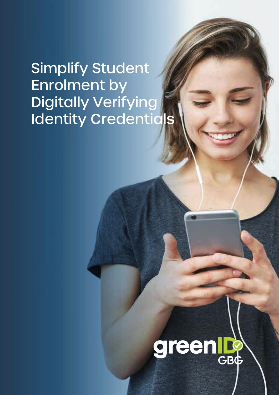# Simplify Student Enrolment by Digitally Verifying Identity Credentials

# green **GBG**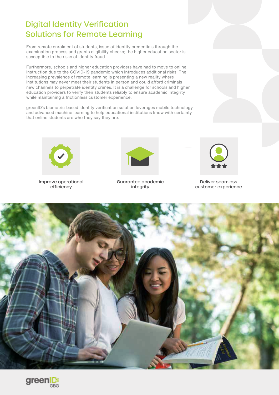## Digital Identity Verification Solutions for Remote Learning

From remote enrolment of students, issue of identity credentials through the examination process and grants eligibility checks; the higher education sector is susceptible to the risks of identity fraud.

Furthermore, schools and higher education providers have had to move to online instruction due to the COVID-19 pandemic which introduces additional risks. The increasing prevalence of remote learning is presenting a new reality where institutions may never meet their students in person and could afford criminals new channels to perpetrate identity crimes. It is a challenge for schools and higher education providers to verify their students reliably to ensure academic integrity while maintaining a frictionless customer experience.

greenID's biometric-based identity verification solution leverages mobile technology and advanced machine learning to help educational institutions know with certainty that online students are who they say they are.



Improve operational efficiency



Guarantee academic integrity



Deliver seamless customer experience



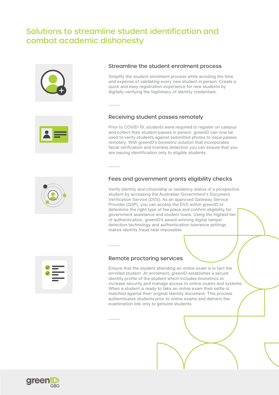## Solutions to streamline student identification and combat academic dishonesty







Simplify the student enrolment process while avoiding the time and expense of validating every new student in person. Create a quick and easy registration experience for new students by digitally verifying the legitimacy of identity credentials.

### Receiving student passes remotely

Prior to COVID-19, students were required to register on campus and collect their student passes in person. greenID can now be used to verify students against submitted photos to issue passes remotely. With greenID's biometric solution that incorporates facial verification and liveness detection you can ensure that you are issuing identification only to eligible students.

### Fees and government grants eligibility checks

Verify identity and citizenship or residency status of a prospective student by accessing the Australian Government's Document Verification Service (DVS). As an approved Gateway Service Provider (GSP), you can access the DVS within greenID to determine the right type of fee place and confirm eligibility for government assistance and student loans. Using the highest tier of authentication, greenID's award-winning digital tamper detection technology and authentication tolerance settings makes identity fraud near impossible.



### Remote proctoring services

Ensure that the student attending an online exam is in fact the enrolled student. At enrolment, greenID establishes a secure identity profile of the student which includes biometrics to increase security and manage access to online exams and systems. When a student is ready to take an online exam their selfie is matched against their original identity document. This process authenticates students prior to online exams and delivers the examination link only to genuine students.

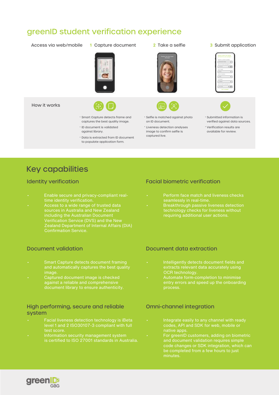### greenID student verification experience

Access via web/mobile **1** Capture document **2** Take a selfie **3** Submit application



- 
- 





- 
- Smart Capture detects frame and ï captures the best quality image.
- · ID document is validated against library.
- · Data is extracted from ID document to populate application form.
- · Selfie is matched against photo on ID document.
- **Liveness detection analyses** image to confirm selfie is captured live.
- · Submitted information is verified against data sources.
- \* Verification results are available for review.

### Key capabilities

- 
- **Example 2** Access to a wide range of trusted data **Sources in Australia and New Zealand**  Zealand Department of Internal Affairs (DIA) Confirmation Service.

#### Document validation

- Smart Capture detects document framing and automatically captures the best quality image.
- Captured document image is checked against a reliable and comprehensive

#### High performing, secure and reliable system

- Facial liveness detection technology is iBeta test score.
- Information security management system

### Identity verification **Facial biometric verification Facial biometric verification**

- 
- **·** Breakthrough passive liveness detection technology checks for liveness without

#### Document data extraction

- Intelligently detects document fields and extracts relevant data accurately using OCR technology.
- 

#### Omni-channel integration

- Integrate easily to any channel with ready codes, API and SDK for web, mobile or native apps.
- For greenID customers, adding on biometric code changes or SDK integration, which can

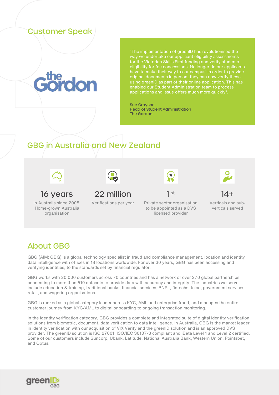### Customer Speak

"The implementation of greenID has revolutionised the way we undertake our applicant eligibility assessments for the Victorian Skills First funding and verify students eligibility for fee concessions. No longer do our applicants original documents in person, they can now verify these using greenID as part of their online application. This has applications and issue offers much more quickly".

Sue Grayson Head of Student Administration The Gordon

## GBG in Australia and New Zealand



In Australia since 2005. Home-grown Australia organisation



### 16 years  $22$  million 1st



Verifications per year Private sector organisation to be appointed as a DVS licensed provider



Verticals and subverticals served

### About GBG

GBG (AIM: GBG) is a global technology specialist in fraud and compliance management, location and identity data intelligence with offices in 18 locations worldwide. For over 30 years, GBG has been accessing and verifying identities, to the standards set by financial regulator.

GBG works with 20,000 customers across 70 countries and has a network of over 270 global partnerships connecting to more than 510 datasets to provide data with accuracy and integrity. The industries we serve include education & training, traditional banks, financial services, BNPL, fintechs, telco, government services, retail, and wagering organisations.

GBG is ranked as a global category leader across KYC, AML and enterprise fraud, and manages the entire customer journey from KYC/AML to digital onboarding to ongoing transaction monitoring.

In the identity verification category, GBG provides a complete and integrated suite of digital identity verification solutions from biometric, document, data verification to data intelligence. In Australia, GBG is the market leader in identity verification with our acquisition of VIX Verify and the greenID solution and is an approved DVS provider. The greenID solution is ISO 27001, ISO/IEC 30107-3 compliant and iBeta Level 1 and Level 2 certified. Some of our customers include Suncorp, Ubank, Latitude, National Australia Bank, Western Union, Pointsbet, and Optus.